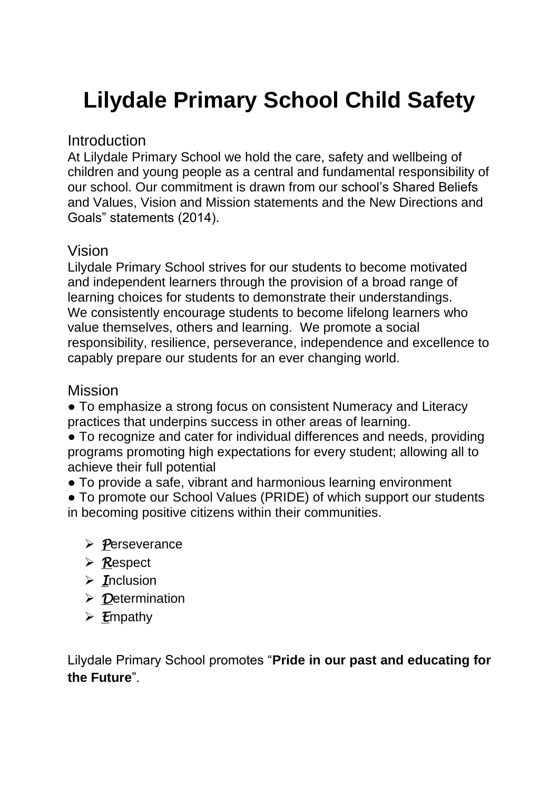# **Lilydale Primary School Child Safety**

#### **Introduction**

At Lilydale Primary School we hold the care, safety and wellbeing of children and young people as a central and fundamental responsibility of our school. Our commitment is drawn from our school's Shared Beliefs and Values, Vision and Mission statements and the New Directions and Goals" statements (2014).

#### Vision

Lilydale Primary School strives for our students to become motivated and independent learners through the provision of a broad range of learning choices for students to demonstrate their understandings. We consistently encourage students to become lifelong learners who value themselves, others and learning. We promote a social responsibility, resilience, perseverance, independence and excellence to capably prepare our students for an ever changing world.

#### Mission

• To emphasize a strong focus on consistent Numeracy and Literacy practices that underpins success in other areas of learning.

• To recognize and cater for individual differences and needs, providing programs promoting high expectations for every student; allowing all to achieve their full potential

• To provide a safe, vibrant and harmonious learning environment

• To promote our School Values (PRIDE) of which support our students in becoming positive citizens within their communities.

- *P*erseverance
- *R*espect
- *I*nclusion
- *D*etermination
- *E*mpathy

Lilydale Primary School promotes "**Pride in our past and educating for the Future**".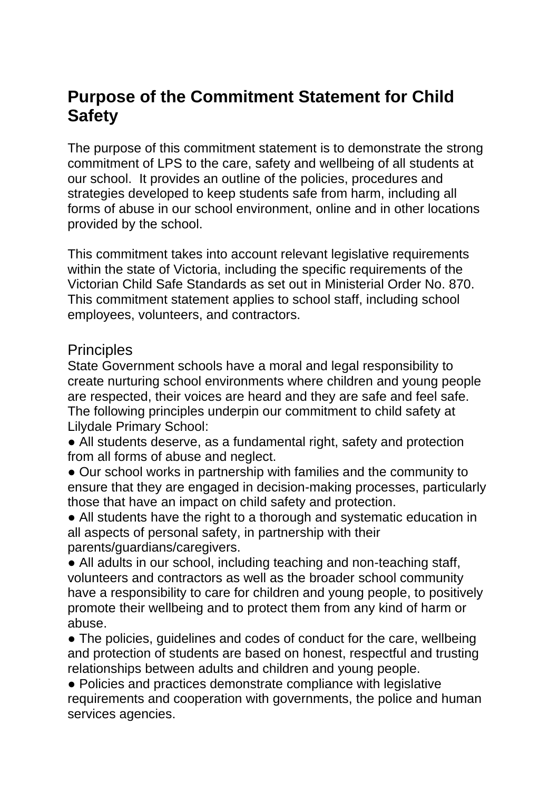# **Purpose of the Commitment Statement for Child Safety**

The purpose of this commitment statement is to demonstrate the strong commitment of LPS to the care, safety and wellbeing of all students at our school. It provides an outline of the policies, procedures and strategies developed to keep students safe from harm, including all forms of abuse in our school environment, online and in other locations provided by the school.

This commitment takes into account relevant legislative requirements within the state of Victoria, including the specific requirements of the Victorian Child Safe Standards as set out in Ministerial Order No. 870. This commitment statement applies to school staff, including school employees, volunteers, and contractors.

#### **Principles**

State Government schools have a moral and legal responsibility to create nurturing school environments where children and young people are respected, their voices are heard and they are safe and feel safe. The following principles underpin our commitment to child safety at Lilydale Primary School:

• All students deserve, as a fundamental right, safety and protection from all forms of abuse and neglect.

• Our school works in partnership with families and the community to ensure that they are engaged in decision-making processes, particularly those that have an impact on child safety and protection.

• All students have the right to a thorough and systematic education in all aspects of personal safety, in partnership with their parents/guardians/caregivers.

• All adults in our school, including teaching and non-teaching staff, volunteers and contractors as well as the broader school community have a responsibility to care for children and young people, to positively promote their wellbeing and to protect them from any kind of harm or abuse.

• The policies, guidelines and codes of conduct for the care, wellbeing and protection of students are based on honest, respectful and trusting relationships between adults and children and young people.

• Policies and practices demonstrate compliance with legislative requirements and cooperation with governments, the police and human services agencies.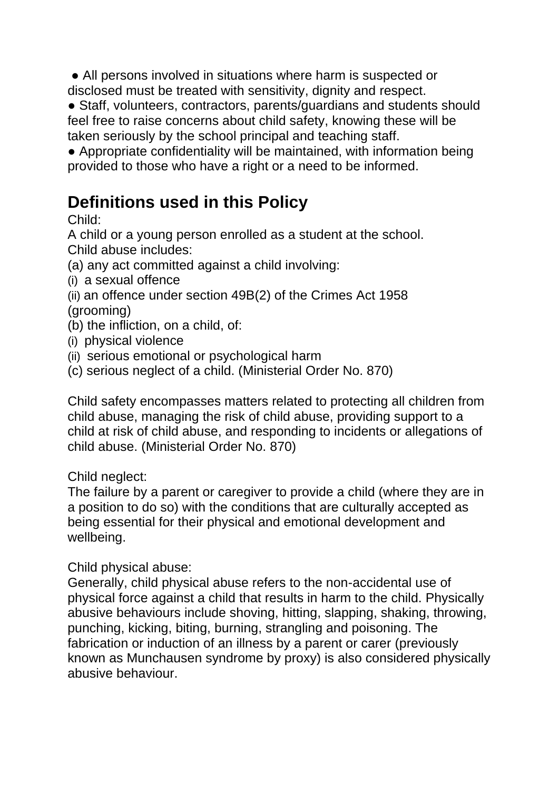• All persons involved in situations where harm is suspected or disclosed must be treated with sensitivity, dignity and respect.

• Staff, volunteers, contractors, parents/guardians and students should feel free to raise concerns about child safety, knowing these will be taken seriously by the school principal and teaching staff.

● Appropriate confidentiality will be maintained, with information being provided to those who have a right or a need to be informed.

# **Definitions used in this Policy**

Child:

A child or a young person enrolled as a student at the school. Child abuse includes:

- (a) any act committed against a child involving:
- (i) a sexual offence
- (ii) an offence under section 49B(2) of the Crimes Act 1958

(grooming)

- (b) the infliction, on a child, of:
- (i) physical violence
- (ii) serious emotional or psychological harm
- (c) serious neglect of a child. (Ministerial Order No. 870)

Child safety encompasses matters related to protecting all children from child abuse, managing the risk of child abuse, providing support to a child at risk of child abuse, and responding to incidents or allegations of child abuse. (Ministerial Order No. 870)

#### Child neglect:

The failure by a parent or caregiver to provide a child (where they are in a position to do so) with the conditions that are culturally accepted as being essential for their physical and emotional development and wellbeing.

Child physical abuse:

Generally, child physical abuse refers to the non-accidental use of physical force against a child that results in harm to the child. Physically abusive behaviours include shoving, hitting, slapping, shaking, throwing, punching, kicking, biting, burning, strangling and poisoning. The fabrication or induction of an illness by a parent or carer (previously known as Munchausen syndrome by proxy) is also considered physically abusive behaviour.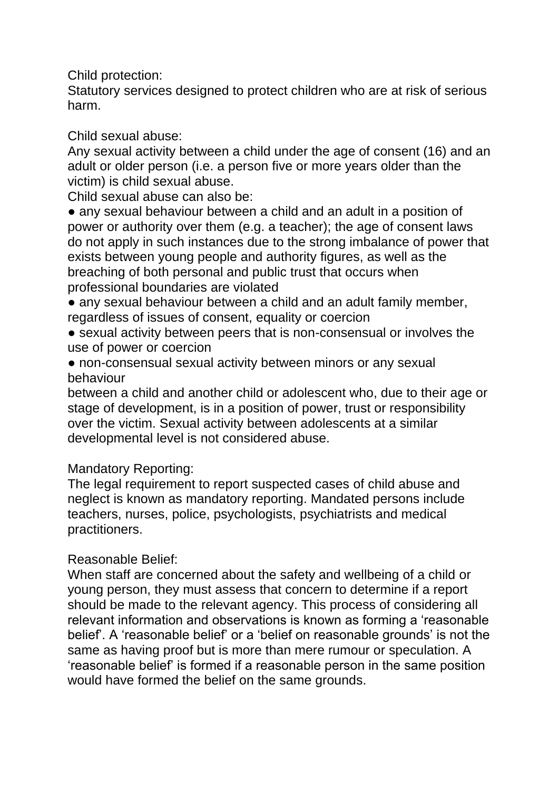Child protection:

Statutory services designed to protect children who are at risk of serious harm.

Child sexual abuse:

Any sexual activity between a child under the age of consent (16) and an adult or older person (i.e. a person five or more years older than the victim) is child sexual abuse.

Child sexual abuse can also be:

• any sexual behaviour between a child and an adult in a position of power or authority over them (e.g. a teacher); the age of consent laws do not apply in such instances due to the strong imbalance of power that exists between young people and authority figures, as well as the breaching of both personal and public trust that occurs when professional boundaries are violated

- any sexual behaviour between a child and an adult family member, regardless of issues of consent, equality or coercion
- sexual activity between peers that is non-consensual or involves the use of power or coercion
- non-consensual sexual activity between minors or any sexual behaviour

between a child and another child or adolescent who, due to their age or stage of development, is in a position of power, trust or responsibility over the victim. Sexual activity between adolescents at a similar developmental level is not considered abuse.

Mandatory Reporting:

The legal requirement to report suspected cases of child abuse and neglect is known as mandatory reporting. Mandated persons include teachers, nurses, police, psychologists, psychiatrists and medical practitioners.

#### Reasonable Belief:

When staff are concerned about the safety and wellbeing of a child or young person, they must assess that concern to determine if a report should be made to the relevant agency. This process of considering all relevant information and observations is known as forming a 'reasonable belief'. A 'reasonable belief' or a 'belief on reasonable grounds' is not the same as having proof but is more than mere rumour or speculation. A 'reasonable belief' is formed if a reasonable person in the same position would have formed the belief on the same grounds.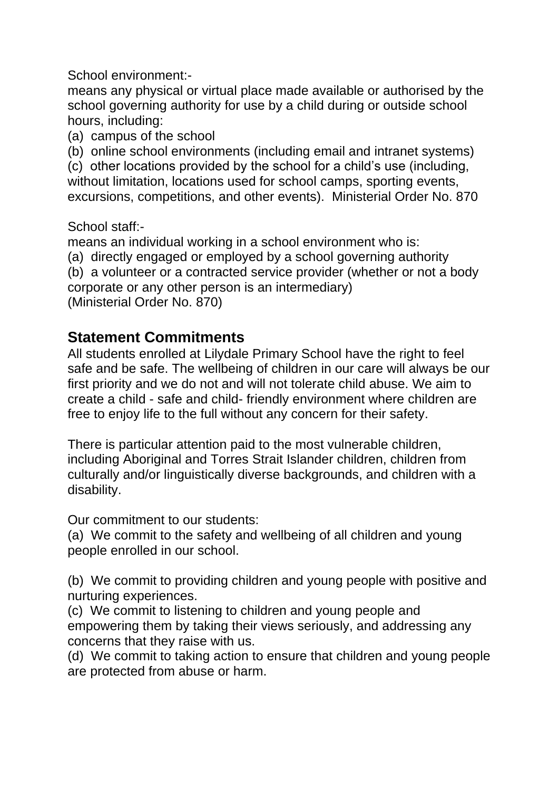School environment:-

means any physical or virtual place made available or authorised by the school governing authority for use by a child during or outside school hours, including:

(a) campus of the school

(b) online school environments (including email and intranet systems)

(c) other locations provided by the school for a child's use (including, without limitation, locations used for school camps, sporting events, excursions, competitions, and other events). Ministerial Order No. 870

School staff:-

means an individual working in a school environment who is:

(a) directly engaged or employed by a school governing authority

(b) a volunteer or a contracted service provider (whether or not a body corporate or any other person is an intermediary)

(Ministerial Order No. 870)

#### **Statement Commitments**

All students enrolled at Lilydale Primary School have the right to feel safe and be safe. The wellbeing of children in our care will always be our first priority and we do not and will not tolerate child abuse. We aim to create a child - safe and child- friendly environment where children are free to enjoy life to the full without any concern for their safety.

There is particular attention paid to the most vulnerable children, including Aboriginal and Torres Strait Islander children, children from culturally and/or linguistically diverse backgrounds, and children with a disability.

Our commitment to our students:

(a) We commit to the safety and wellbeing of all children and young people enrolled in our school.

(b) We commit to providing children and young people with positive and nurturing experiences.

(c) We commit to listening to children and young people and empowering them by taking their views seriously, and addressing any concerns that they raise with us.

(d) We commit to taking action to ensure that children and young people are protected from abuse or harm.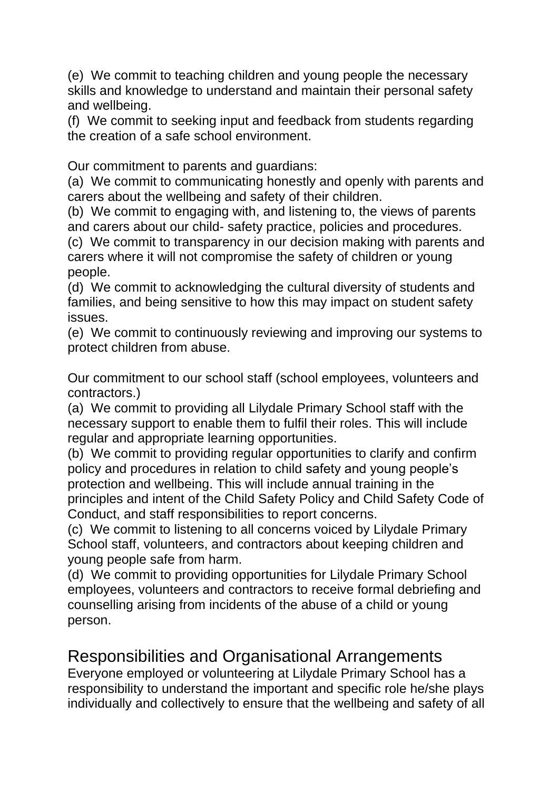(e) We commit to teaching children and young people the necessary skills and knowledge to understand and maintain their personal safety and wellbeing.

(f) We commit to seeking input and feedback from students regarding the creation of a safe school environment.

Our commitment to parents and guardians:

(a) We commit to communicating honestly and openly with parents and carers about the wellbeing and safety of their children.

(b) We commit to engaging with, and listening to, the views of parents and carers about our child- safety practice, policies and procedures.

(c) We commit to transparency in our decision making with parents and carers where it will not compromise the safety of children or young people.

(d) We commit to acknowledging the cultural diversity of students and families, and being sensitive to how this may impact on student safety issues.

(e) We commit to continuously reviewing and improving our systems to protect children from abuse.

Our commitment to our school staff (school employees, volunteers and contractors.)

(a) We commit to providing all Lilydale Primary School staff with the necessary support to enable them to fulfil their roles. This will include regular and appropriate learning opportunities.

(b) We commit to providing regular opportunities to clarify and confirm policy and procedures in relation to child safety and young people's protection and wellbeing. This will include annual training in the principles and intent of the Child Safety Policy and Child Safety Code of Conduct, and staff responsibilities to report concerns.

(c) We commit to listening to all concerns voiced by Lilydale Primary School staff, volunteers, and contractors about keeping children and young people safe from harm.

(d) We commit to providing opportunities for Lilydale Primary School employees, volunteers and contractors to receive formal debriefing and counselling arising from incidents of the abuse of a child or young person.

# Responsibilities and Organisational Arrangements

Everyone employed or volunteering at Lilydale Primary School has a responsibility to understand the important and specific role he/she plays individually and collectively to ensure that the wellbeing and safety of all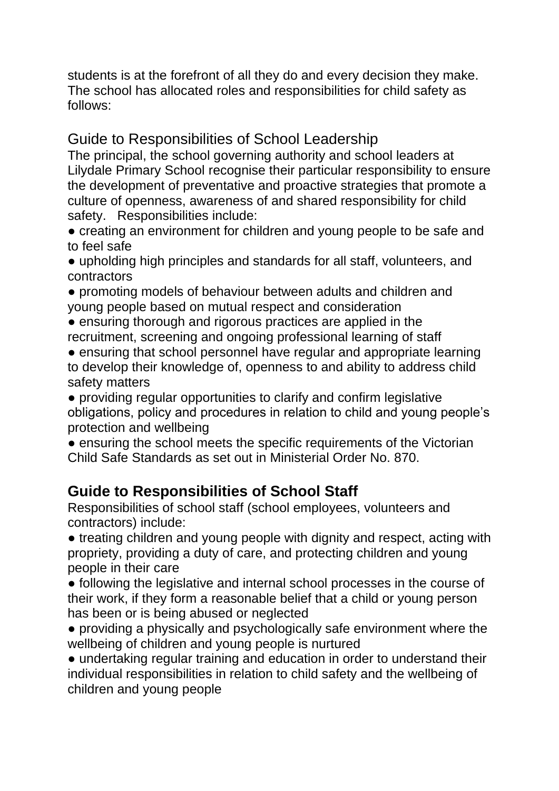students is at the forefront of all they do and every decision they make. The school has allocated roles and responsibilities for child safety as follows:

#### Guide to Responsibilities of School Leadership

The principal, the school governing authority and school leaders at Lilydale Primary School recognise their particular responsibility to ensure the development of preventative and proactive strategies that promote a culture of openness, awareness of and shared responsibility for child safety. Responsibilities include:

• creating an environment for children and young people to be safe and to feel safe

● upholding high principles and standards for all staff, volunteers, and contractors

● promoting models of behaviour between adults and children and young people based on mutual respect and consideration

• ensuring thorough and rigorous practices are applied in the recruitment, screening and ongoing professional learning of staff

• ensuring that school personnel have regular and appropriate learning to develop their knowledge of, openness to and ability to address child safety matters

● providing regular opportunities to clarify and confirm legislative obligations, policy and procedures in relation to child and young people's protection and wellbeing

• ensuring the school meets the specific requirements of the Victorian Child Safe Standards as set out in Ministerial Order No. 870.

## **Guide to Responsibilities of School Staff**

Responsibilities of school staff (school employees, volunteers and contractors) include:

• treating children and young people with dignity and respect, acting with propriety, providing a duty of care, and protecting children and young people in their care

● following the legislative and internal school processes in the course of their work, if they form a reasonable belief that a child or young person has been or is being abused or neglected

● providing a physically and psychologically safe environment where the wellbeing of children and young people is nurtured

• undertaking regular training and education in order to understand their individual responsibilities in relation to child safety and the wellbeing of children and young people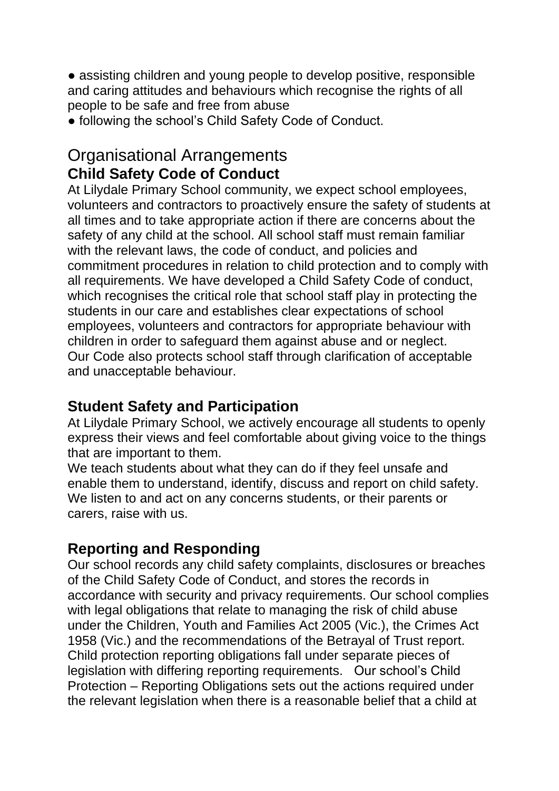• assisting children and young people to develop positive, responsible and caring attitudes and behaviours which recognise the rights of all people to be safe and free from abuse

● following the school's Child Safety Code of Conduct.

#### Organisational Arrangements **Child Safety Code of Conduct**

At Lilydale Primary School community, we expect school employees, volunteers and contractors to proactively ensure the safety of students at all times and to take appropriate action if there are concerns about the safety of any child at the school. All school staff must remain familiar with the relevant laws, the code of conduct, and policies and commitment procedures in relation to child protection and to comply with all requirements. We have developed a Child Safety Code of conduct, which recognises the critical role that school staff play in protecting the students in our care and establishes clear expectations of school employees, volunteers and contractors for appropriate behaviour with children in order to safeguard them against abuse and or neglect. Our Code also protects school staff through clarification of acceptable and unacceptable behaviour.

#### **Student Safety and Participation**

At Lilydale Primary School, we actively encourage all students to openly express their views and feel comfortable about giving voice to the things that are important to them.

We teach students about what they can do if they feel unsafe and enable them to understand, identify, discuss and report on child safety. We listen to and act on any concerns students, or their parents or carers, raise with us.

## **Reporting and Responding**

Our school records any child safety complaints, disclosures or breaches of the Child Safety Code of Conduct, and stores the records in accordance with security and privacy requirements. Our school complies with legal obligations that relate to managing the risk of child abuse under the Children, Youth and Families Act 2005 (Vic.), the Crimes Act 1958 (Vic.) and the recommendations of the Betrayal of Trust report. Child protection reporting obligations fall under separate pieces of legislation with differing reporting requirements. Our school's Child Protection – Reporting Obligations sets out the actions required under the relevant legislation when there is a reasonable belief that a child at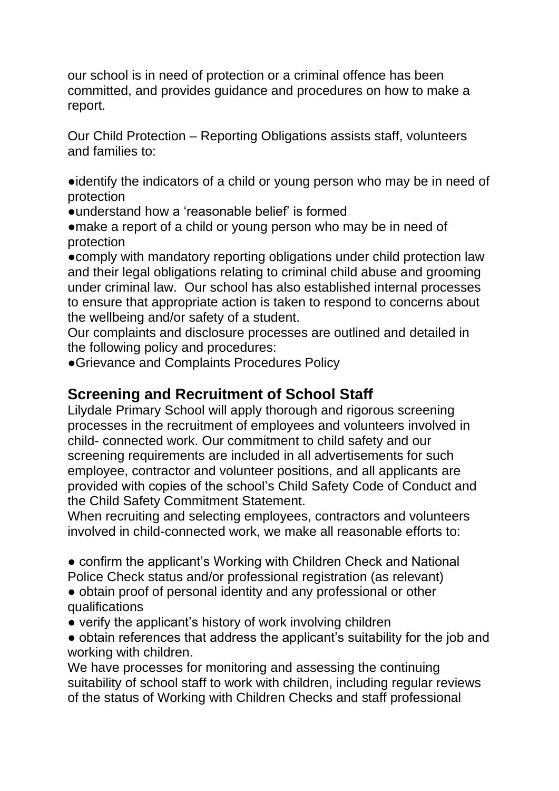our school is in need of protection or a criminal offence has been committed, and provides guidance and procedures on how to make a report.

Our Child Protection – Reporting Obligations assists staff, volunteers and families to:

●identify the indicators of a child or young person who may be in need of protection

●understand how a 'reasonable belief' is formed

• make a report of a child or young person who may be in need of protection

●comply with mandatory reporting obligations under child protection law and their legal obligations relating to criminal child abuse and grooming under criminal law. Our school has also established internal processes to ensure that appropriate action is taken to respond to concerns about the wellbeing and/or safety of a student.

Our complaints and disclosure processes are outlined and detailed in the following policy and procedures:

●Grievance and Complaints Procedures Policy

#### **Screening and Recruitment of School Staff**

Lilydale Primary School will apply thorough and rigorous screening processes in the recruitment of employees and volunteers involved in child- connected work. Our commitment to child safety and our screening requirements are included in all advertisements for such employee, contractor and volunteer positions, and all applicants are provided with copies of the school's Child Safety Code of Conduct and the Child Safety Commitment Statement.

When recruiting and selecting employees, contractors and volunteers involved in child-connected work, we make all reasonable efforts to:

• confirm the applicant's Working with Children Check and National Police Check status and/or professional registration (as relevant)

• obtain proof of personal identity and any professional or other qualifications

- verify the applicant's history of work involving children
- obtain references that address the applicant's suitability for the job and working with children.

We have processes for monitoring and assessing the continuing suitability of school staff to work with children, including regular reviews of the status of Working with Children Checks and staff professional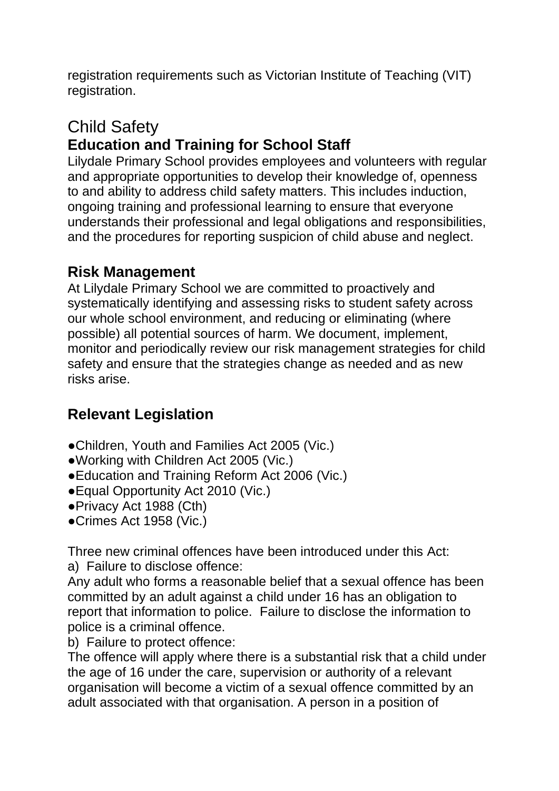registration requirements such as Victorian Institute of Teaching (VIT) registration.

## Child Safety **Education and Training for School Staff**

Lilydale Primary School provides employees and volunteers with regular and appropriate opportunities to develop their knowledge of, openness to and ability to address child safety matters. This includes induction, ongoing training and professional learning to ensure that everyone understands their professional and legal obligations and responsibilities, and the procedures for reporting suspicion of child abuse and neglect.

#### **Risk Management**

At Lilydale Primary School we are committed to proactively and systematically identifying and assessing risks to student safety across our whole school environment, and reducing or eliminating (where possible) all potential sources of harm. We document, implement, monitor and periodically review our risk management strategies for child safety and ensure that the strategies change as needed and as new risks arise.

## **Relevant Legislation**

- ●Children, Youth and Families Act 2005 (Vic.)
- ●Working with Children Act 2005 (Vic.)
- ●Education and Training Reform Act 2006 (Vic.)
- Equal Opportunity Act 2010 (Vic.)
- ●Privacy Act 1988 (Cth)
- ●Crimes Act 1958 (Vic.)

Three new criminal offences have been introduced under this Act:

a) Failure to disclose offence:

Any adult who forms a reasonable belief that a sexual offence has been committed by an adult against a child under 16 has an obligation to report that information to police. Failure to disclose the information to police is a criminal offence.

b) Failure to protect offence:

The offence will apply where there is a substantial risk that a child under the age of 16 under the care, supervision or authority of a relevant organisation will become a victim of a sexual offence committed by an adult associated with that organisation. A person in a position of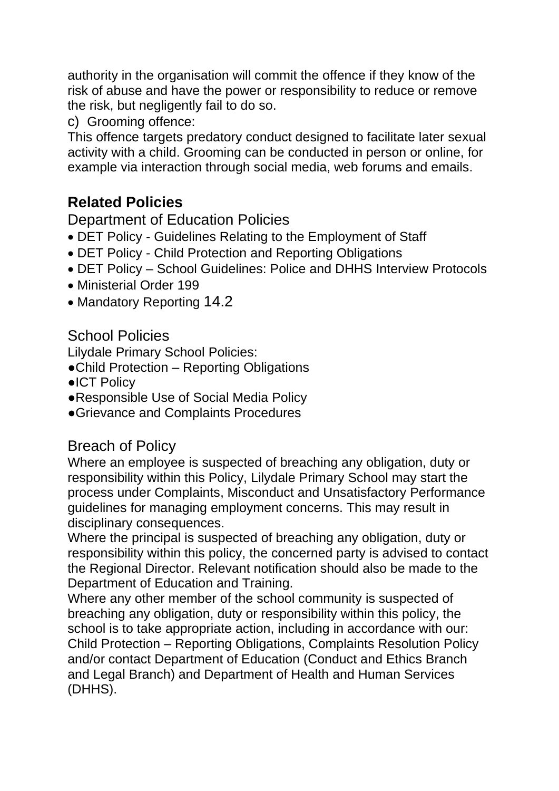authority in the organisation will commit the offence if they know of the risk of abuse and have the power or responsibility to reduce or remove the risk, but negligently fail to do so.

c) Grooming offence:

This offence targets predatory conduct designed to facilitate later sexual activity with a child. Grooming can be conducted in person or online, for example via interaction through social media, web forums and emails.

# **Related Policies**

#### Department of Education Policies

- DET Policy Guidelines Relating to the Employment of Staff
- DET Policy Child Protection and Reporting Obligations
- DET Policy School Guidelines: Police and DHHS Interview Protocols
- Ministerial Order 199
- Mandatory Reporting 14.2

#### School Policies

Lilydale Primary School Policies:

- ●Child Protection Reporting Obligations
- ●ICT Policy
- ●Responsible Use of Social Media Policy
- ●Grievance and Complaints Procedures

#### Breach of Policy

Where an employee is suspected of breaching any obligation, duty or responsibility within this Policy, Lilydale Primary School may start the process under Complaints, Misconduct and Unsatisfactory Performance guidelines for managing employment concerns. This may result in disciplinary consequences.

Where the principal is suspected of breaching any obligation, duty or responsibility within this policy, the concerned party is advised to contact the Regional Director. Relevant notification should also be made to the Department of Education and Training.

Where any other member of the school community is suspected of breaching any obligation, duty or responsibility within this policy, the school is to take appropriate action, including in accordance with our: Child Protection – Reporting Obligations, Complaints Resolution Policy and/or contact Department of Education (Conduct and Ethics Branch and Legal Branch) and Department of Health and Human Services (DHHS).